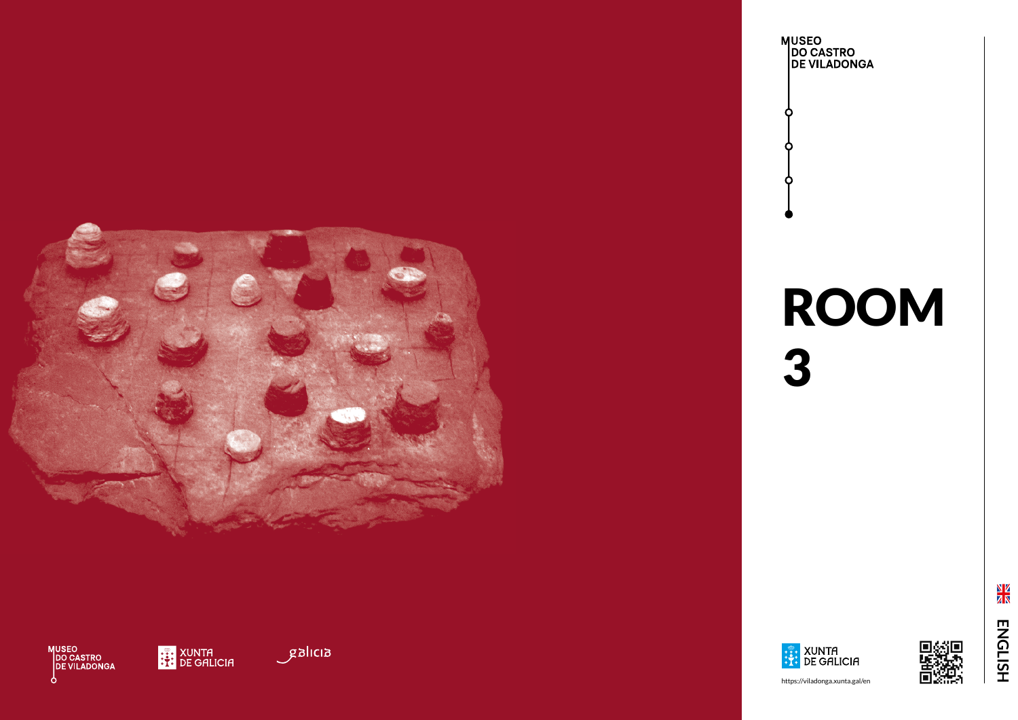

MUSEO<br>|DO CASTRO<br>|DE VILADONGA **b** 



BILIER









https://viladonga.xunta.gal/en